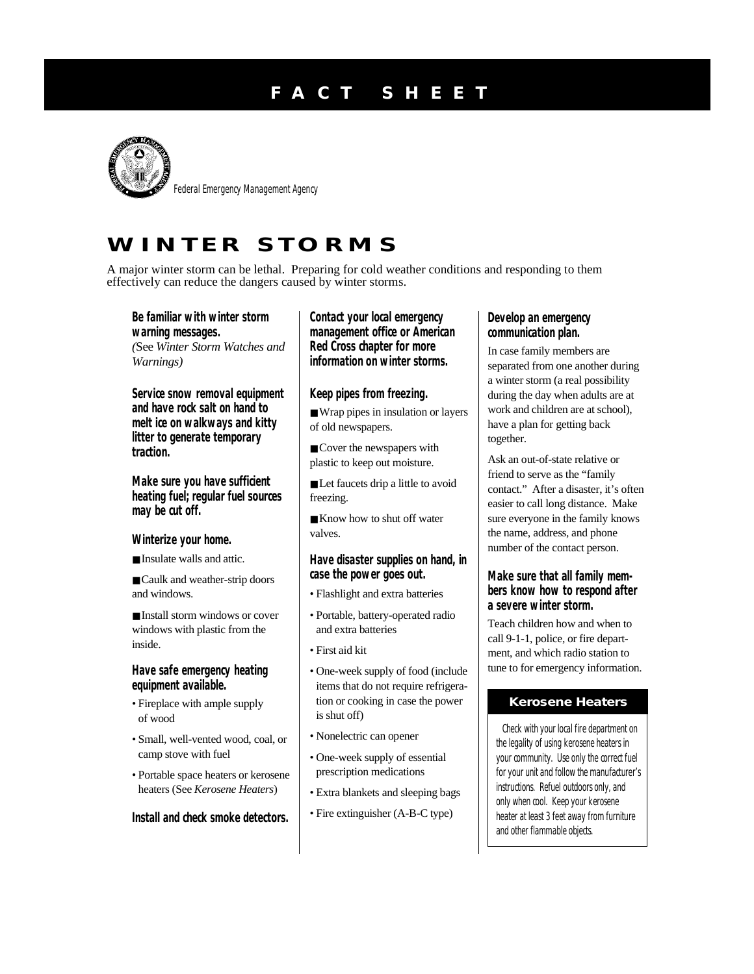# **F A C T S H E E T**



Federal Emergency Management Agency

# **W I N T E R S T O R M S**

A major winter storm can be lethal. Preparing for cold weather conditions and responding to them effectively can reduce the dangers caused by winter storms.

**Be familiar with winter storm warning messages.** *(*See *Winter Storm Watches and Warnings)*

**Service snow removal equipment and have rock salt on hand to melt ice on walkways and kitty litter to generate temporary traction.**

**Make sure you have sufficient heating fuel; regular fuel sources may be cut off.**

**Winterize your home.**

- Insulate walls and attic.
- Caulk and weather-strip doors and windows.

■ Install storm windows or cover windows with plastic from the inside.

**Have** *safe* **emergency heating equipment available.**

- Fireplace with ample supply of wood
- Small, well-vented wood, coal, or camp stove with fuel
- Portable space heaters or kerosene heaters (See *Kerosene Heaters*)

**Install and check smoke detectors.**

**Contact your local emergency management office or American Red Cross chapter for more information on winter storms.**

**Keep pipes from freezing.**

■ Wrap pipes in insulation or layers of old newspapers.

■ Cover the newspapers with plastic to keep out moisture.

■ Let faucets drip a little to avoid freezing.

■ Know how to shut off water valves.

**Have disaster supplies on hand, in case the power goes out.**

- Flashlight and extra batteries
- Portable, battery-operated radio and extra batteries
- First aid kit
- One-week supply of food (include items that do not require refrigeration or cooking in case the power is shut off)
- Nonelectric can opener
- One-week supply of essential prescription medications
- Extra blankets and sleeping bags
- Fire extinguisher (A-B-C type)

**Develop an emergency communication plan.**

In case family members are separated from one another during a winter storm (a real possibility during the day when adults are at work and children are at school), have a plan for getting back together.

Ask an out-of-state relative or friend to serve as the "family contact." After a disaster, it's often easier to call long distance. Make sure everyone in the family knows the name, address, and phone number of the contact person.

**Make sure that all family members know how to respond after a severe winter storm.**

Teach children how and when to call 9-1-1, police, or fire department, and which radio station to tune to for emergency information.

### **Kerosene Heaters**

Check with your local fire department on the legality of using kerosene heaters in your community. Use only the correct fuel for your unit and follow the manufacturer's instructions. Refuel outdoors only, and only when cool. Keep your kerosene heater at least 3 feet away from furniture and other flammable objects.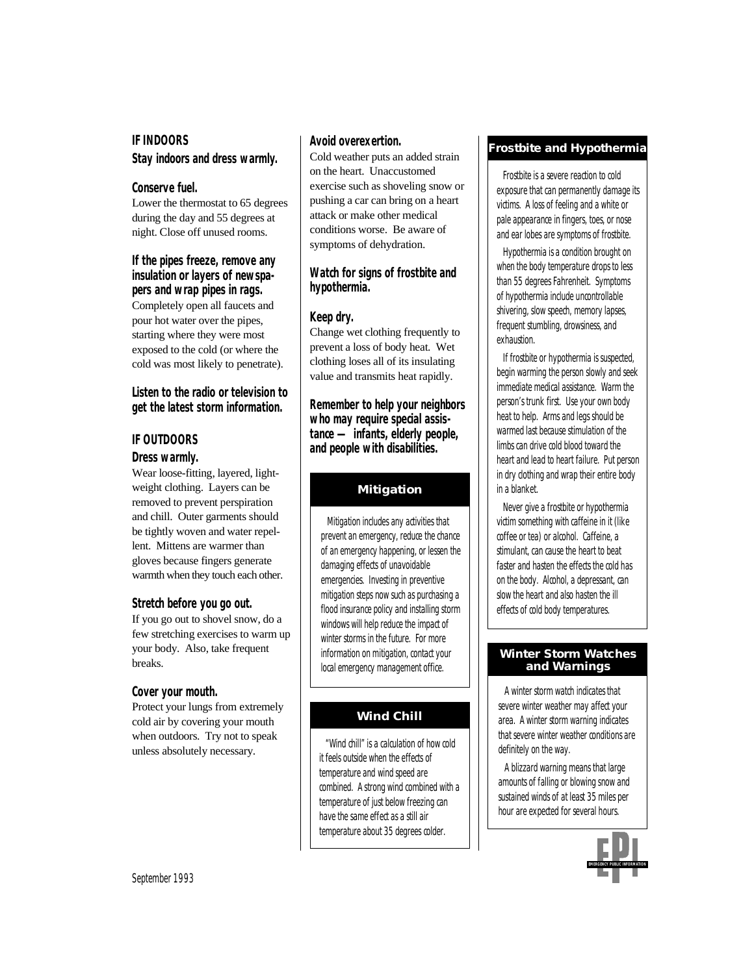### **FRINDOORS** Avoid overexertion. **IF INDOORS IF INDOORS Stay indoors and dress warmly.**

**Conserve fuel.** Lower the thermostat to 65 degrees during the day and 55 degrees at night. Close off unused rooms.

**If the pipes freeze, remove any insulation or layers of newspapers and wrap pipes in rags.** Completely open all faucets and pour hot water over the pipes, starting where they were most exposed to the cold (or where the cold was most likely to penetrate).

**Listen to the radio or television to get the latest storm information.**

## **IF OUTDOORS**

**Dress warmly.**

Wear loose-fitting, layered, lightweight clothing. Layers can be removed to prevent perspiration and chill. Outer garments should be tightly woven and water repellent. Mittens are warmer than gloves because fingers generate warmth when they touch each other.

**Stretch before you go out.** If you go out to shovel snow, do a few stretching exercises to warm up your body. Also, take frequent breaks.

**Cover your mouth.** Protect your lungs from extremely cold air by covering your mouth when outdoors. Try not to speak unless absolutely necessary.

### **Avoid overexertion.**

Cold weather puts an added strain on the heart. Unaccustomed exercise such as shoveling snow or pushing a car can bring on a heart attack or make other medical conditions worse. Be aware of symptoms of dehydration.

**Watch for signs of frostbite and hypothermia.**

## **Keep dry.**

Change wet clothing frequently to prevent a loss of body heat. Wet clothing loses all of its insulating value and transmits heat rapidly.

**Remember to help your neighbors who may require special assistance — infants, elderly people, and people with disabilities.**

## **Mitigation**

Mitigation includes any activities that prevent an emergency, reduce the chance of an emergency happening, or lessen the damaging effects of unavoidable emergencies. Investing in preventive mitigation steps now such as purchasing a flood insurance policy and installing storm windows will help reduce the impact of winter storms in the future. For more information on mitigation, contact your local emergency management office.

## **Wind Chill**

"Wind chill" is a calculation of how cold it feels outside when the effects of temperature and wind speed are combined. A strong wind combined with a temperature of just below freezing can have the same effect as a still air temperature about 35 degrees colder.

Frostbite is a severe reaction to cold exposure that can permanently damage its victims. A loss of feeling and a white or pale appearance in fingers, toes, or nose and ear lobes are symptoms of frostbite.

Hypothermia is a condition brought on when the body temperature drops to less than 55 degrees Fahrenheit. Symptoms of hypothermia include uncontrollable shivering, slow speech, memory lapses, frequent stumbling, drowsiness, and exhaustion.

If frostbite or hypothermia is suspected, begin warming the person slowly and seek immediate medical assistance. Warm the person's trunk first. Use your own body heat to help. Arms and legs should be warmed last because stimulation of the limbs can drive cold blood toward the heart and lead to heart failure. Put person in dry clothing and wrap their entire body in a blanket.

Never give a frostbite or hypothermia victim something with caffeine in it (like coffee or tea) or alcohol. Caffeine, a stimulant, can cause the heart to beat faster and hasten the effects the cold has on the body. Alcohol, a depressant, can slow the heart and also hasten the ill effects of cold body temperatures.

### **Winter Storm Watches and Warnings**

A *winter storm watch* indicates that severe winter weather may affect your area. A *winter storm warning* indicates that severe winter weather conditions are definitely on the way.

A *blizzard warning* means that large amounts of falling or blowing snow and sustained winds of at least 35 miles per hour are expected for several hours.

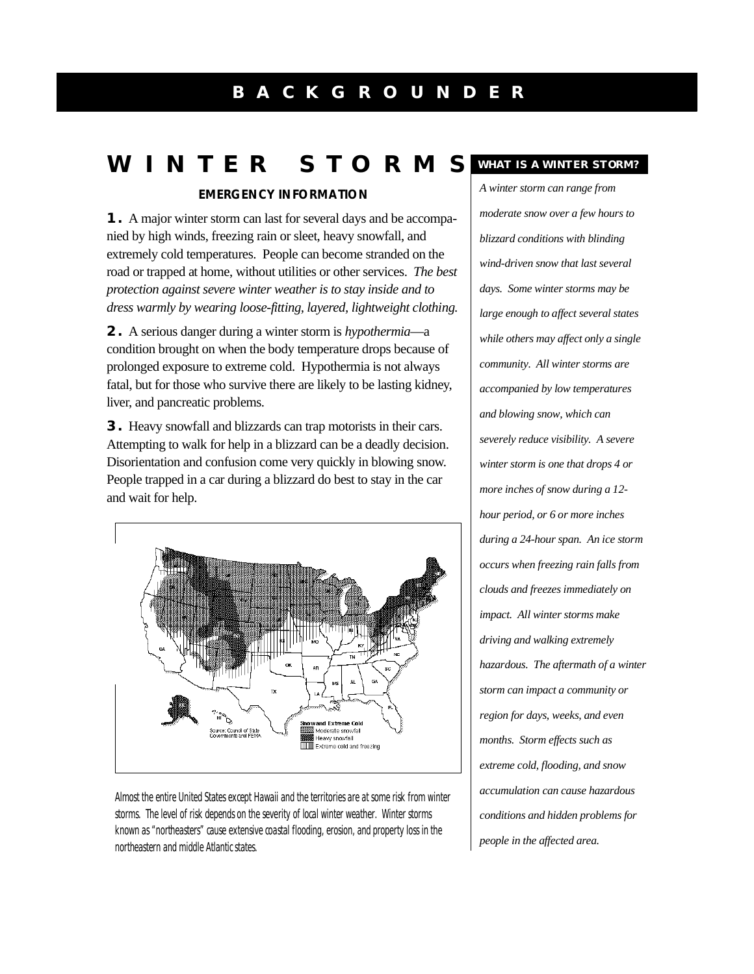# **W I N T E R S T O R M S**

### **EMERGENCY INFORMATION**

**1.** A major winter storm can last for several days and be accompanied by high winds, freezing rain or sleet, heavy snowfall, and extremely cold temperatures. People can become stranded on the road or trapped at home, without utilities or other services. *The best protection against severe winter weather is to stay inside and to dress warmly by wearing loose-fitting, layered, lightweight clothing.*

**2.** A serious danger during a winter storm is *hypothermia*—a condition brought on when the body temperature drops because of prolonged exposure to extreme cold. Hypothermia is not always fatal, but for those who survive there are likely to be lasting kidney, liver, and pancreatic problems.

**3.** Heavy snowfall and blizzards can trap motorists in their cars. Attempting to walk for help in a blizzard can be a deadly decision. Disorientation and confusion come very quickly in blowing snow. People trapped in a car during a blizzard do best to stay in the car and wait for help.



Almost the entire United States except Hawaii and the territories are at some risk from winter storms. The level of risk depends on the severity of local winter weather. Winter storms known as "northeasters" cause extensive coastal flooding, erosion, and property loss in the northeastern and middle Atlantic states.

### **WHAT IS A WINTER STORM?**

*A winter storm can range from moderate snow over a few hours to blizzard conditions with blinding wind-driven snow that last several days. Some winter storms may be large enough to affect several states while others may affect only a single community. All winter storms are accompanied by low temperatures and blowing snow, which can severely reduce visibility. A severe winter storm is one that drops 4 or more inches of snow during a 12 hour period, or 6 or more inches during a 24-hour span. An ice storm occurs when freezing rain falls from clouds and freezes immediately on impact. All winter storms make driving and walking extremely hazardous. The aftermath of a winter storm can impact a community or region for days, weeks, and even months. Storm effects such as extreme cold, flooding, and snow accumulation can cause hazardous conditions and hidden problems for people in the affected area.*